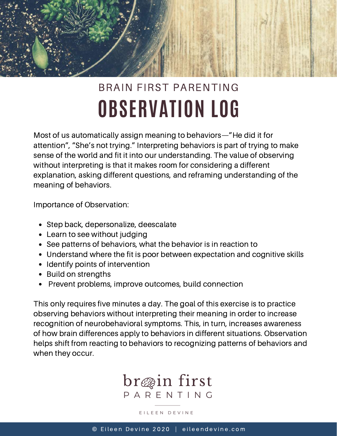

## **OBSERVATION LOG** BRAIN FIRST PARENTING

Most of us automatically assign meaning to behaviors—"He did it for attention", "She's not trying." Interpreting behaviors is part of trying to make sense of the world and fit it into our understanding. The value of observing without interpreting is that it makes room for considering a different explanation, asking different questions, and reframing understanding of the meaning of behaviors.

Importance of Observation:

- Step back, depersonalize, deescalate
- Learn to see without judging
- See patterns of behaviors, what the behavior is in reaction to
- Understand where the fit is poor between expectation and cognitive skills
- Identify points of intervention
- Build on strengths
- Prevent problems, improve outcomes, build connection

This only requires five minutes a day. The goal of this exercise is to practice observing behaviors without interpreting their meaning in order to increase recognition of neurobehavioral symptoms. This, in turn, increases awareness of how brain differences apply to behaviors in different situations. Observation helps shift from reacting to behaviors to recognizing patterns of behaviors and when they occur.



## E I L E E N D E V I N E